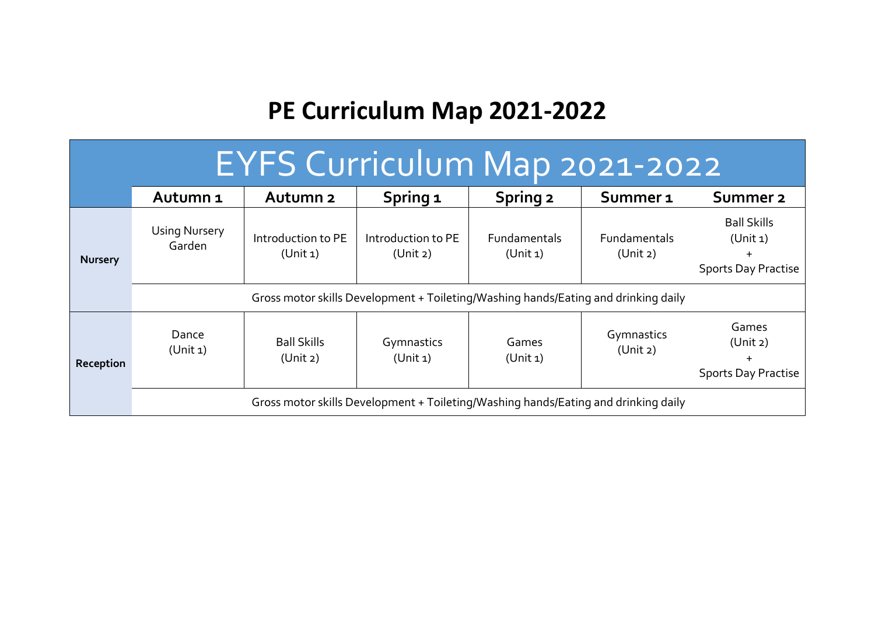## **PE Curriculum Map 2021-2022**

| EYFS Curriculum Map 2021-2022 |                                                                                    |                                |                                |                                 |                          |                                                                           |  |
|-------------------------------|------------------------------------------------------------------------------------|--------------------------------|--------------------------------|---------------------------------|--------------------------|---------------------------------------------------------------------------|--|
|                               | Autumn <sub>1</sub>                                                                | Autumn <sub>2</sub>            | Spring 1                       | <b>Spring 2</b>                 | Summer <sub>1</sub>      | Summer <sub>2</sub>                                                       |  |
| <b>Nursery</b>                | <b>Using Nursery</b><br>Garden                                                     | Introduction to PE<br>(Unit 1) | Introduction to PE<br>(Unit 2) | <b>Fundamentals</b><br>(Unit 1) | Fundamentals<br>(Unit 2) | <b>Ball Skills</b><br>(Unit 1)<br>$\ddot{}$<br><b>Sports Day Practise</b> |  |
|                               | Gross motor skills Development + Toileting/Washing hands/Eating and drinking daily |                                |                                |                                 |                          |                                                                           |  |
| Reception                     | Dance<br>(Unit 1)                                                                  | <b>Ball Skills</b><br>(Unit 2) | Gymnastics<br>(Unit 1)         | Games<br>(Unit 1)               | Gymnastics<br>(Unit 2)   | Games<br>(Unit 2)<br><b>Sports Day Practise</b>                           |  |
|                               | Gross motor skills Development + Toileting/Washing hands/Eating and drinking daily |                                |                                |                                 |                          |                                                                           |  |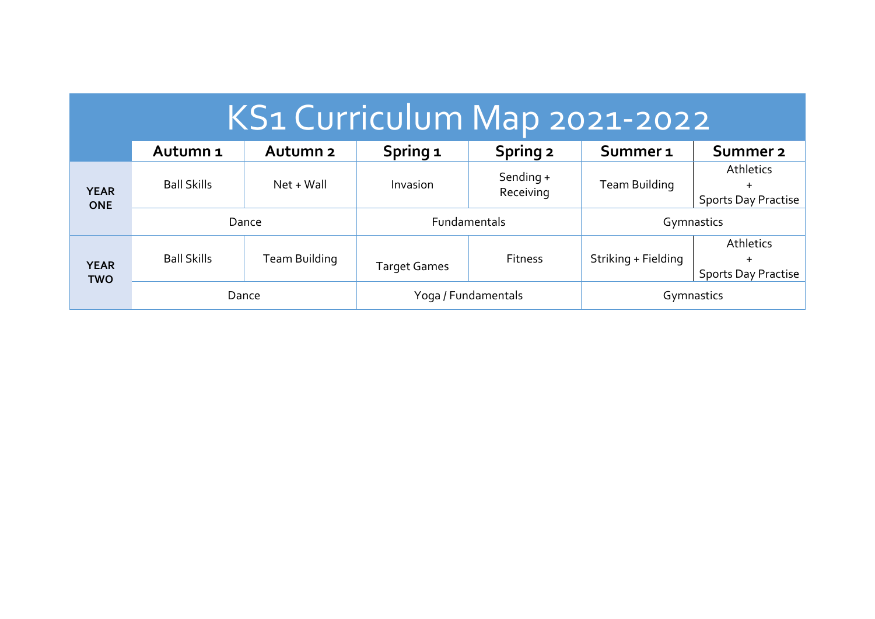| KS1 Curriculum Map 2021-2022 |                     |                     |                     |                        |                     |                                                             |  |
|------------------------------|---------------------|---------------------|---------------------|------------------------|---------------------|-------------------------------------------------------------|--|
|                              | Autumn <sub>1</sub> | Autumn <sub>2</sub> | Spring 1            | <b>Spring 2</b>        | Summer <sub>1</sub> | Summer 2                                                    |  |
| <b>YEAR</b><br><b>ONE</b>    | <b>Ball Skills</b>  | Net + Wall          | Invasion            | Sending +<br>Receiving | Team Building       | <b>Athletics</b><br>$\ddot{}$<br><b>Sports Day Practise</b> |  |
|                              | Dance               |                     | <b>Fundamentals</b> |                        | Gymnastics          |                                                             |  |
| <b>YEAR</b><br><b>TWO</b>    | <b>Ball Skills</b>  | Team Building       | <b>Target Games</b> | <b>Fitness</b>         | Striking + Fielding | Athletics<br>$\pm$<br><b>Sports Day Practise</b>            |  |
|                              | Dance               |                     | Yoga / Fundamentals |                        | Gymnastics          |                                                             |  |